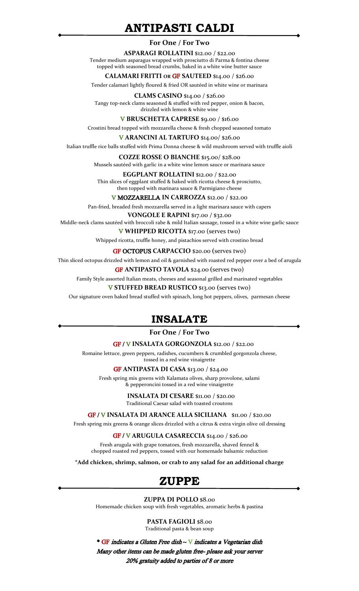# **ANTIPASTI CALDI**

#### **For One / For Two**

**ASPARAGI ROLLATINI** \$12.00 / \$22.00 Tender medium asparagus wrapped with prosciutto di Parma & fontina cheese topped with seasoned bread crumbs, baked in a white wine butter sauce

#### **CALAMARI FRITTI OR** GF **SAUTEED** \$14.00 / \$26.00

Tender calamari lightly floured & fried OR sautéed in white wine or marinara

**CLAMS CASINO** \$14.00 / \$26.00 Tangy top-neck clams seasoned & stuffed with red pepper, onion & bacon, drizzled with lemon & white wine

V **BRUSCHETTA CAPRESE** \$9.00 / \$16.00

Crostini bread topped with mozzarella cheese & fresh chopped seasoned tomato

V **ARANCINI AL TARTUFO** \$14.00/ \$26.00

Italian truffle rice balls stuffed with Prima Donna cheese & wild mushroom served with truffle aioli

**COZZE ROSSE O BIANCHE** \$15.00/ \$28.00 Mussels sautéed with garlic in a white wine lemon sauce or marinara sauce

**EGGPLANT ROLLATINI** \$12.00 / \$22.00 Thin slices of eggplant stuffed & baked with ricotta cheese & prosciutto, then topped with marinara sauce & Parmigiano cheese

V MOZZARELLA **IN CARROZZA** \$12.00 / \$22.00

Pan-fried, breaded fresh mozzarella served in a light marinara sauce with capers

**VONGOLE E RAPINI** \$17.00 / \$32.00

Middle-neck clams sautéed with broccoli rabe & mild Italian sausage, tossed in a white wine garlic sauce V **WHIPPED RICOTTA** \$17.00 (serves two)

Whipped ricotta, truffle honey, and pistachios served with crostino bread

GF OCTOPUS **CARPACCIO** \$20.00 **(**serves two)

Thin sliced octopus drizzled with lemon and oil & garnished with roasted red pepper over a bed of arugula

GF **ANTIPASTO TAVOLA** \$24.00 **(**serves two)

Family Style assorted Italian meats, cheeses and seasonal grilled and marinated vegetables

V **STUFFED BREAD RUSTICO** \$13.00 **(**serves two)

Our signature oven baked bread stuffed with spinach, long hot peppers, olives, parmesan cheese

# **INSALATE**

**For One / For Two**

#### GF / V **INSALATA GORGONZOLA** \$12.00 / \$22.00

Romaine lettuce, green peppers, radishes, cucumbers & crumbled gorgonzola cheese, tossed in a red wine vinaigrette

GF **ANTIPASTA DI CASA** \$13.00 / \$24.00

Fresh spring mix greens with Kalamata olives, sharp provolone, salami & pepperoncini tossed in a red wine vinaigrette

> **INSALATA DI CESARE** \$11.00 / \$20.00 Traditional Caesar salad with toasted croutons

GF / V **INSALATA DI ARANCE ALLA SICILIANA** \$11.00 / \$20.00

Fresh spring mix greens & orange slices drizzled with a citrus & extra virgin olive oil dressing

#### GF / V **ARUGULA CASARECCIA** \$14.00 / \$26.00

Fresh arugula with grape tomatoes, fresh mozzarella, shaved fennel & chopped roasted red peppers, tossed with our homemade balsamic reduction

**\*Add chicken, shrimp, salmon, or crab to any salad for an additional charge**

# **ZUPPE**

#### **ZUPPA DI POLLO** \$8.00

Homemade chicken soup with fresh vegetables, aromatic herbs & pastina

**PASTA FAGIOLI** \$8.00 Traditional pasta & bean soup

\* GF indicates a Gluten Free dish ~ V indicates a Vegetarian dish Many other items can be made gluten free- please ask your server 20% gratuity added to parties of 8 or more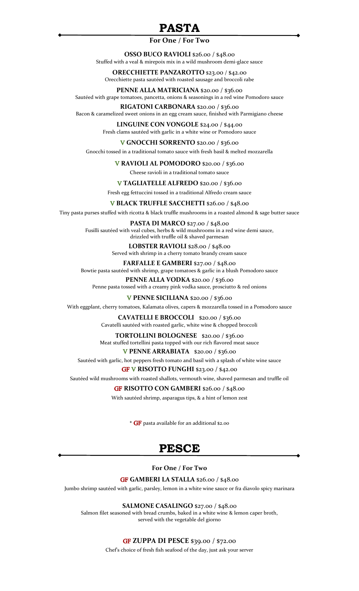# **PASTA**

#### **For One / For Two**

**OSSO BUCO RAVIOLI** \$26.00 / \$48.00 Stuffed with a veal & mirepoix mix in a wild mushroom demi-glace sauce

**ORECCHIETTE PANZAROTTO** \$23.00 / \$42.00 Orecchiette pasta sautéed with roasted sausage and broccoli rabe

**PENNE ALLA MATRICIANA** \$20.00 / \$36.00 Sautéed with grape tomatoes, pancetta, onions & seasonings in a red wine Pomodoro sauce

**RIGATONI CARBONARA** \$20.00 / \$36.00 Bacon & caramelized sweet onions in an egg cream sauce, finished with Parmigiano cheese

> **LINGUINE CON VONGOLE** \$24.00 / \$44.00 Fresh clams sautéed with garlic in a white wine or Pomodoro sauce

> > V **GNOCCHI SORRENTO** \$20.00 / \$36.00

Gnocchi tossed in a traditional tomato sauce with fresh basil & melted mozzarella

V **RAVIOLI AL POMODORO** \$20.00 / \$36.00

Cheese ravioli in a traditional tomato sauce

V **TAGLIATELLE ALFREDO** \$20.00 / \$36.00

Fresh egg fettuccini tossed in a traditional Alfredo cream sauce

V **BLACK TRUFFLE SACCHETTI** \$26.00 / \$48.00

Tiny pasta purses stuffed with ricotta & black truffle mushrooms in a roasted almond & sage butter sauce

**PASTA DI MARCO** \$27.00 / \$48.00 Fusilli sautéed with veal cubes, herbs & wild mushrooms in a red wine demi sauce, drizzled with truffle oil & shaved parmesan

> **LOBSTER RAVIOLI** \$28.00 / \$48.00 Served with shrimp in a cherry tomato brandy cream sauce

**FARFALLE E GAMBERI** \$27.00 / \$48.00 Bowtie pasta sautéed with shrimp, grape tomatoes & garlic in a blush Pomodoro sauce

**PENNE ALLA VODKA** \$20.00 / \$36.00 Penne pasta tossed with a creamy pink vodka sauce, prosciutto & red onions

V **PENNE SICILIANA** \$20.00 / \$36.00

With eggplant, cherry tomatoes, Kalamata olives, capers & mozzarella tossed in a Pomodoro sauce

**CAVATELLI E BROCCOLI** \$20.00 / \$36.00 Cavatelli sautéed with roasted garlic, white wine & chopped broccoli

**TORTOLLINI BOLOGNESE** \$20.00 / \$36.00 Meat stuffed tortellini pasta topped with our rich flavored meat sauce

V **PENNE ARRABIATA** \$20.00 / \$36.00

Sautéed with garlic, hot peppers fresh tomato and basil with a splash of white wine sauce

### GF V **RISOTTO FUNGHI** \$23.00 / \$42.00

Sautéed wild mushrooms with roasted shallots, vermouth wine, shaved parmesan and truffle oil

#### GF **RISOTTO CON GAMBERI** \$26.00 / \$48.00

With sautéed shrimp, asparagus tips, & a hint of lemon zest

\* GF pasta available for an additional \$2.00

# **PESCE**

#### **For One / For Two**

GF **GAMBERI LA STALLA** \$26.00 / \$48.00

Jumbo shrimp sautéed with garlic, parsley, lemon in a white wine sauce or fra diavolo spicy marinara

**SALMONE CASALINGO** \$27.00 / \$48.00

Salmon filet seasoned with bread crumbs, baked in a white wine & lemon caper broth, served with the vegetable del giorno

### GF **ZUPPA DI PESCE** \$39.00 / \$72.00

Chef's choice of fresh fish seafood of the day, just ask your server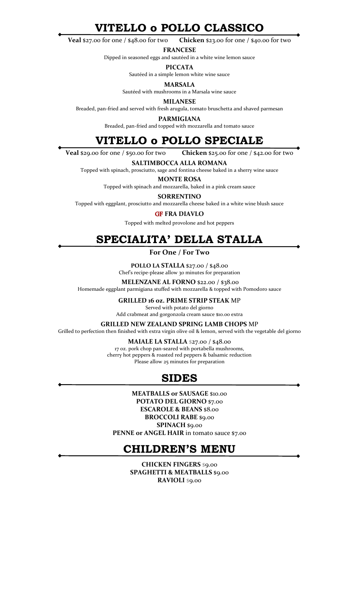**VITELLO o POLLO CLASSICO**

**Veal** \$27.00 for one / \$48.00 for two **Chicken** \$23.00 for one / \$40.00 for two

**FRANCESE**

Dipped in seasoned eggs and sautéed in a white wine lemon sauce

**PICCATA**

Sautéed in a simple lemon white wine sauce

**MARSALA**

Sautéed with mushrooms in a Marsala wine sauce

**MILANESE**

Breaded, pan-fried and served with fresh arugula, tomato bruschetta and shaved parmesan

**PARMIGIANA**

Breaded, pan-fried and topped with mozzarella and tomato sauce

# **VITELLO o POLLO SPECIALE**

**Veal** \$29.00 for one / \$50.00 for two **Chicken** \$25.00 for one / \$42.00 for two

**SALTIMBOCCA ALLA ROMANA**

Topped with spinach, prosciutto, sage and fontina cheese baked in a sherry wine sauce

**MONTE ROSA**

Topped with spinach and mozzarella, baked in a pink cream sauce

**SORRENTINO**

Topped with eggplant, prosciutto and mozzarella cheese baked in a white wine blush sauce

#### GF **FRA DIAVLO**

Topped with melted provolone and hot peppers

#### **SPECIALITA' DELLA STALLA**i

**For One / For Two**

**POLLO LA STALLA** \$27.00 / \$48.00

Chef's recipe-please allow 30 minutes for preparation

**MELENZANE AL FORNO** \$22.00 / \$38.00

Homemade eggplant parmigiana stuffed with mozzarella & topped with Pomodoro sauce

#### **GRILLED 16 oz. PRIME STRIP STEAK** MP

Served with potato del giorno Add crabmeat and gorgonzola cream sauce \$10.00 extra

**GRILLED NEW ZEALAND SPRING LAMB CHOPS** MP

Grilled to perfection then finished with extra virgin olive oil & lemon, served with the vegetable del giorno

**MAIALE LA STALLA** \$27.00 / \$48.00 17 oz. pork chop pan-seared with portabella mushrooms, cherry hot peppers & roasted red peppers & balsamic reduction Please allow 25 minutes for preparation

## **SIDES**

**MEATBALLS or SAUSAGE** \$10.00 **POTATO DEL GIORNO** \$7.00 **ESCAROLE & BEANS** \$8.00 **BROCCOLI RABE** \$9.00 **SPINACH** \$9.00 PENNE or ANGEL HAIR in tomato sauce \$7.00

# **CHILDREN'S MENU**

**CHICKEN FINGERS** \$9.00 **SPAGHETTI & MEATBALLS** \$9.00 **RAVIOLI** \$9.00